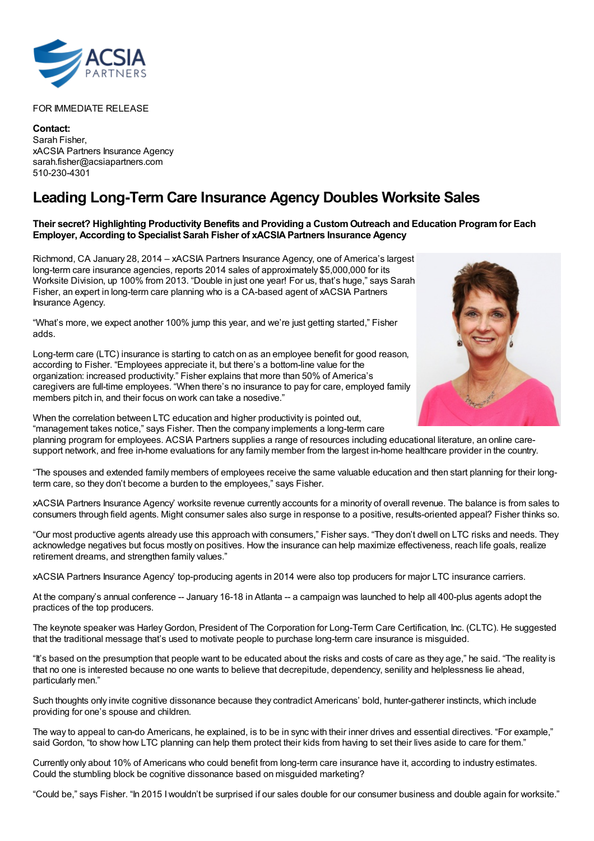

FOR IMMEDIATE RELEASE

**Contact:** Sarah Fisher, xACSIA Partners Insurance Agency sarah.fisher@acsiapartners.com 510-230-4301

## **Leading Long-Term Care Insurance Agency Doubles Worksite Sales**

## **Their secret? Highlighting Productivity Benefits and Providing a CustomOutreach and Education Programfor Each Employer, According to Specialist Sarah Fisher of xACSIAPartners Insurance Agency**

Richmond, CA January 28, 2014 – xACSIA Partners Insurance Agency, one of America's largest long-term care insurance agencies, reports 2014 sales of approximately \$5,000,000 for its Worksite Division, up 100% from 2013. "Double in just one year! For us, that's huge," says Sarah Fisher, an expert in long-term care planning who is a CA-based agent of xACSIA Partners Insurance Agency.

"What's more, we expect another 100% jump this year, and we're just getting started," Fisher adds.

Long-term care (LTC) insurance is starting to catch on as an employee benefit for good reason, according to Fisher. "Employees appreciate it, but there's a bottom-line value for the organization: increased productivity." Fisher explains that more than 50% of America's caregivers are full-time employees. "When there's no insurance to pay for care, employed family members pitch in, and their focus on work can take a nosedive."



When the correlation between LTC education and higher productivity is pointed out, "management takes notice," says Fisher. Then the company implements a long-term care

planning program for employees. ACSIA Partners supplies a range of resources including educational literature, an online caresupport network, and free in-home evaluations for any family member from the largest in-home healthcare provider in the country.

"The spouses and extended family members of employees receive the same valuable education and then start planning for their longterm care, so they don't become a burden to the employees," says Fisher.

xACSIA Partners Insurance Agency' worksite revenue currently accounts for a minority of overall revenue. The balance is from sales to consumers through field agents. Might consumer sales also surge in response to a positive, results-oriented appeal? Fisher thinks so.

"Our most productive agents already use this approach with consumers," Fisher says. "They don't dwell on LTC risks and needs. They acknowledge negatives but focus mostly on positives. How the insurance can help maximize effectiveness, reach life goals, realize retirement dreams, and strengthen family values."

xACSIA Partners Insurance Agency' top-producing agents in 2014 were also top producers for major LTC insurance carriers.

At the company's annual conference -- January 16-18 in Atlanta -- a campaign was launched to help all 400-plus agents adopt the practices of the top producers.

The keynote speaker was Harley Gordon, President of The Corporation for Long-Term Care Certification, Inc. (CLTC). He suggested that the traditional message that's used to motivate people to purchase long-term care insurance is misguided.

"It's based on the presumption that people want to be educated about the risks and costs of care as they age," he said. "The reality is that no one is interested because no one wants to believe that decrepitude, dependency, senility and helplessness lie ahead, particularly men."

Such thoughts only invite cognitive dissonance because they contradict Americans' bold, hunter-gatherer instincts, which include providing for one's spouse and children.

The way to appeal to can-do Americans, he explained, is to be in sync with their inner drives and essential directives. "For example," said Gordon, "to show how LTC planning can help them protect their kids from having to set their lives aside to care for them."

Currently only about 10% of Americans who could benefit from long-term care insurance have it, according to industry estimates. Could the stumbling block be cognitive dissonance based on misguided marketing?

"Could be," says Fisher. "In 2015 Iwouldn't be surprised if our sales double for our consumer business and double again for worksite."